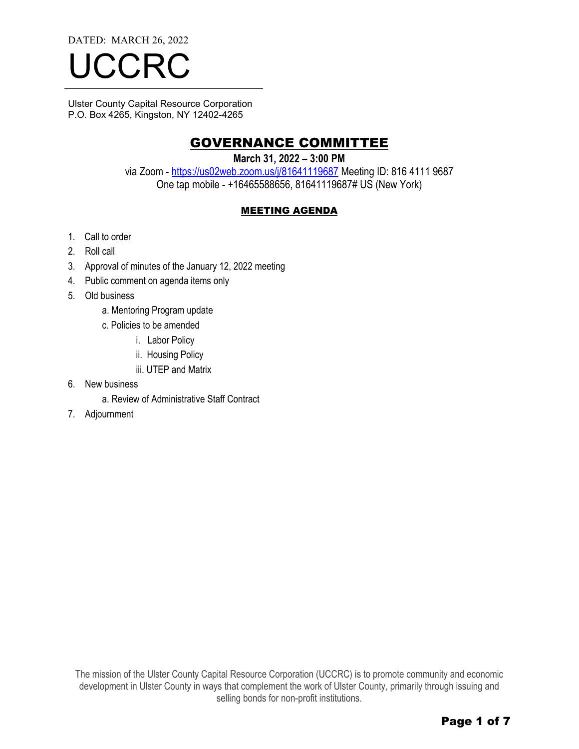DATED: MARCH 26, 2022

# **ICCR**

Ulster County Capital Resource Corporation P.O. Box 4265, Kingston, NY 12402-4265

### GOVERNANCE COMMITTEE

**March 31, 2022 – 3:00 PM** 

via Zoom - https://us02web.zoom.us/j/81641119687 Meeting ID: 816 4111 9687 One tap mobile - +16465588656, 81641119687# US (New York)

#### MEETING AGENDA

- 1. Call to order
- 2. Roll call
- 3. Approval of minutes of the January 12, 2022 meeting
- 4. Public comment on agenda items only
- 5. Old business
	- a. Mentoring Program update
	- c. Policies to be amended
		- i. Labor Policy
		- ii. Housing Policy
		- iii. UTEP and Matrix
- 6. New business
	- a. Review of Administrative Staff Contract
- 7. Adjournment

The mission of the Ulster County Capital Resource Corporation (UCCRC) is to promote community and economic development in Ulster County in ways that complement the work of Ulster County, primarily through issuing and selling bonds for non-profit institutions.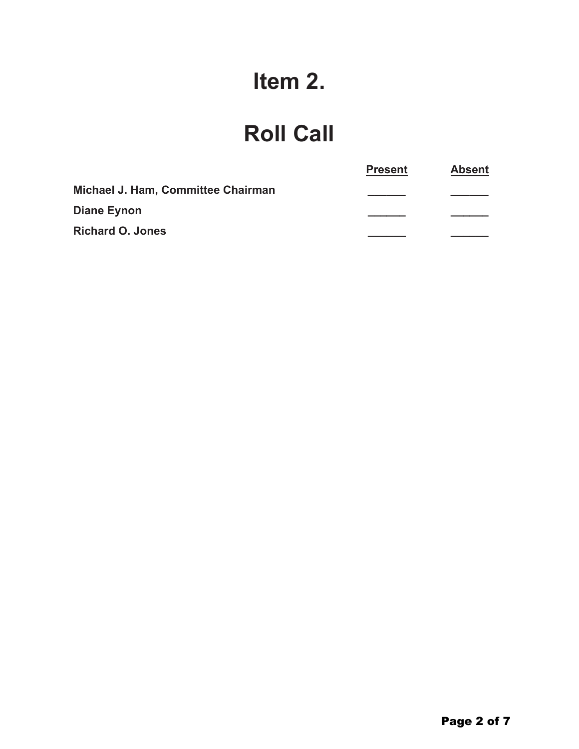# Item 2.

## **Roll Call**

|                                    | <b>Present</b> | <b>Absent</b> |
|------------------------------------|----------------|---------------|
| Michael J. Ham, Committee Chairman |                |               |
| Diane Eynon                        |                |               |
| <b>Richard O. Jones</b>            |                |               |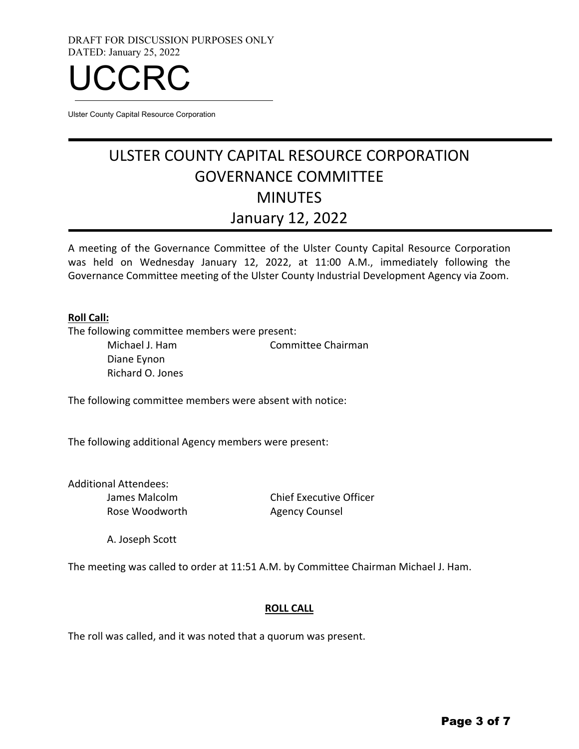DRAFT FOR DISCUSSION PURPOSES ONLY DATED: January 25, 2022



Ulster County Capital Resource Corporation

### ULSTER COUNTY CAPITAL RESOURCE CORPORATION GOVERNANCE COMMITTEE MINUTES January 12, 2022

A meeting of the Governance Committee of the Ulster County Capital Resource Corporation was held on Wednesday January 12, 2022, at 11:00 A.M., immediately following the Governance Committee meeting of the Ulster County Industrial Development Agency via Zoom.

#### **Roll Call:**

The following committee members were present:

Michael J. Ham Committee Chairman Diane Eynon Richard O. Jones

The following committee members were absent with notice:

The following additional Agency members were present:

Additional Attendees: James Malcolm Rose Woodworth

Chief Executive Officer Agency Counsel

A. Joseph Scott

The meeting was called to order at 11:51 A.M. by Committee Chairman Michael J. Ham.

#### **ROLL CALL**

The roll was called, and it was noted that a quorum was present.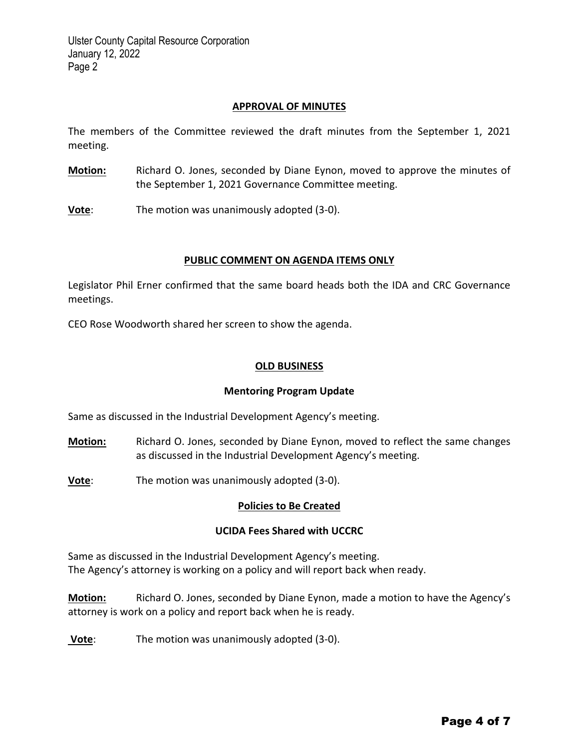#### **APPROVAL OF MINUTES**

The members of the Committee reviewed the draft minutes from the September 1, 2021 meeting.

- **Motion:** Richard O. Jones, seconded by Diane Eynon, moved to approve the minutes of the September 1, 2021 Governance Committee meeting.
- **Vote**: The motion was unanimously adopted (3-0).

#### **PUBLIC COMMENT ON AGENDA ITEMS ONLY**

Legislator Phil Erner confirmed that the same board heads both the IDA and CRC Governance meetings.

CEO Rose Woodworth shared her screen to show the agenda.

#### **OLD BUSINESS**

#### **Mentoring Program Update**

Same as discussed in the Industrial Development Agency's meeting.

- **Motion:** Richard O. Jones, seconded by Diane Eynon, moved to reflect the same changes as discussed in the Industrial Development Agency's meeting.
- **Vote**: The motion was unanimously adopted (3-0).

#### **Policies to Be Created**

#### **UCIDA Fees Shared with UCCRC**

Same as discussed in the Industrial Development Agency's meeting. The Agency's attorney is working on a policy and will report back when ready.

**Motion:** Richard O. Jones, seconded by Diane Eynon, made a motion to have the Agency's attorney is work on a policy and report back when he is ready.

**Vote**: The motion was unanimously adopted (3‐0).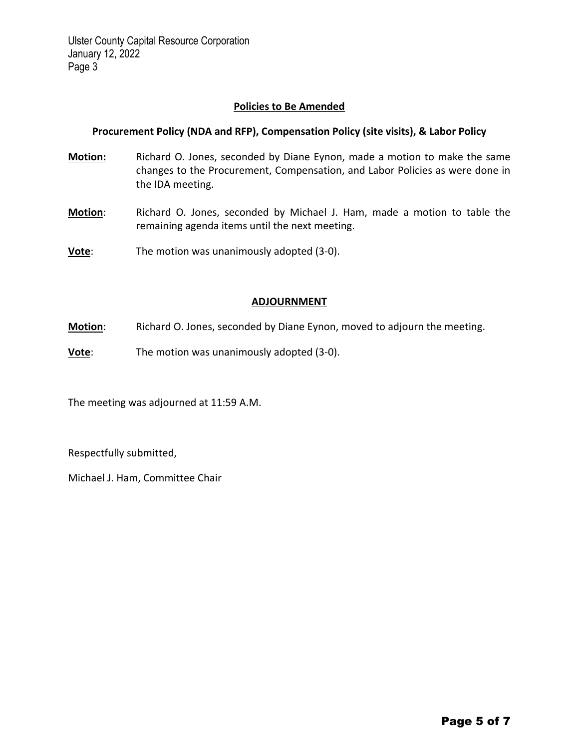#### **Policies to Be Amended**

#### **Procurement Policy (NDA and RFP), Compensation Policy (site visits), & Labor Policy**

- **Motion:** Richard O. Jones, seconded by Diane Eynon, made a motion to make the same changes to the Procurement, Compensation, and Labor Policies as were done in the IDA meeting.
- **Motion**: Richard O. Jones, seconded by Michael J. Ham, made a motion to table the remaining agenda items until the next meeting.
- **Vote**: The motion was unanimously adopted (3‐0).

#### **ADJOURNMENT**

- **Motion**: Richard O. Jones, seconded by Diane Eynon, moved to adjourn the meeting.
- **Vote**: The motion was unanimously adopted (3-0).

The meeting was adjourned at 11:59 A.M.

Respectfully submitted,

Michael J. Ham, Committee Chair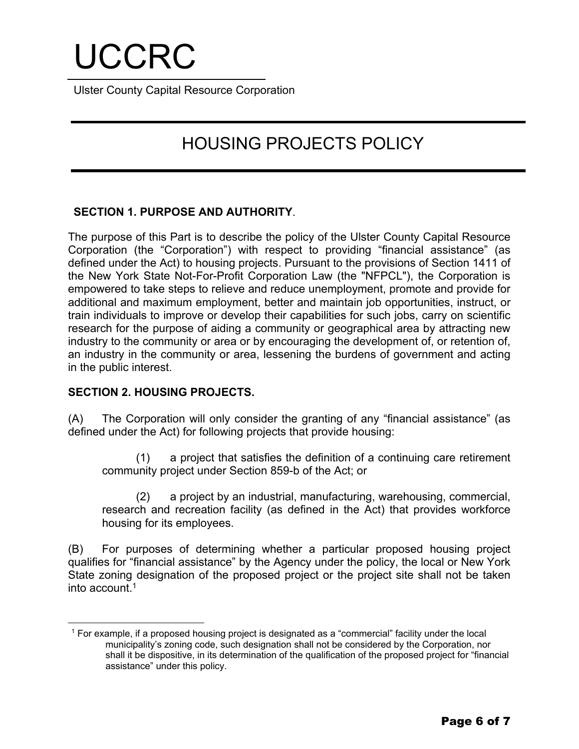# UCCRC

Ulster County Capital Resource Corporation

## HOUSING PROJECTS POLICY

#### **SECTION 1. PURPOSE AND AUTHORITY**.

The purpose of this Part is to describe the policy of the Ulster County Capital Resource Corporation (the "Corporation") with respect to providing "financial assistance" (as defined under the Act) to housing projects. Pursuant to the provisions of Section 1411 of the New York State Not-For-Profit Corporation Law (the "NFPCL"), the Corporation is empowered to take steps to relieve and reduce unemployment, promote and provide for additional and maximum employment, better and maintain job opportunities, instruct, or train individuals to improve or develop their capabilities for such jobs, carry on scientific research for the purpose of aiding a community or geographical area by attracting new industry to the community or area or by encouraging the development of, or retention of, an industry in the community or area, lessening the burdens of government and acting in the public interest.

#### **SECTION 2. HOUSING PROJECTS.**

(A) The Corporation will only consider the granting of any "financial assistance" (as defined under the Act) for following projects that provide housing:

(1) a project that satisfies the definition of a continuing care retirement community project under Section 859-b of the Act; or

(2) a project by an industrial, manufacturing, warehousing, commercial, research and recreation facility (as defined in the Act) that provides workforce housing for its employees.

(B) For purposes of determining whether a particular proposed housing project qualifies for "financial assistance" by the Agency under the policy, the local or New York State zoning designation of the proposed project or the project site shall not be taken into account.1

<sup>1</sup> For example, if a proposed housing project is designated as a "commercial" facility under the local municipality's zoning code, such designation shall not be considered by the Corporation, nor shall it be dispositive, in its determination of the qualification of the proposed project for "financial assistance" under this policy.